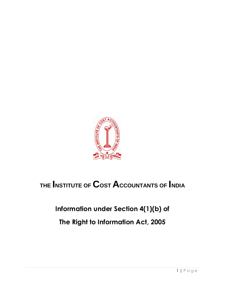

# **THE INSTITUTE OF COST ACCOUNTANTS OF INDIA**

## **Information under Section 4(1)(b) of**

**The Right to Information Act, 2005**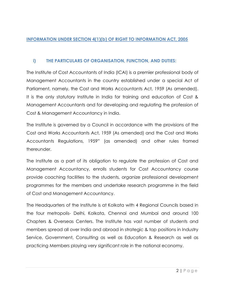## **INFORMATION UNDER SECTION 4(1)(b) OF RIGHT TO INFORMATION ACT, 2005**

## **i) THE PARTICULARS OF ORGANISATION, FUNCTION, AND DUTIES:**

The Institute of Cost Accountants of India (ICAI) is a premier professional body of Management Accountants in the country established under a special Act of Parliament, namely, the Cost and Works Accountants Act, 1959 (As amended). It is the only statutory Institute in India for training and education of Cost & Management Accountants and for developing and regulating the profession of Cost & Management Accountancy in India.

The Institute is governed by a Council in accordance with the provisions of the Cost and Works Accountants Act, 1959 (As amended) and the Cost and Works Accountants Regulations, 1959" (as amended) and other rules framed thereunder.

The Institute as a part of its obligation to regulate the profession of Cost and Management Accountancy, enrolls students for Cost Accountancy course provide coaching facilities to the students, organize professional development programmes for the members and undertake research programme in the field of Cost and Management Accountancy.

The Headquarters of the Institute is at Kolkata with 4 Regional Councils based in the four metropolis- Delhi, Kolkata, Chennai and Mumbai and around 100 Chapters & Overseas Centers. The Institute has vast number of students and members spread all over India and abroad in strategic & top positions in Industry Service, Government, Consulting as well as Education & Research as well as practicing Members playing very significant role in the national economy.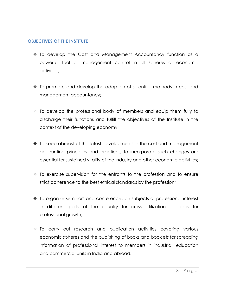### **OBJECTIVES OF THE INSTITUTE**

- \* To develop the Cost and Management Accountancy function as a powerful tool of management control in all spheres of economic activities;
- $\cdot$  To promote and develop the adoption of scientific methods in cost and management accountancy;
- $\cdot$  To develop the professional body of members and equip them fully to discharge their functions and fulfill the objectives of the Institute in the context of the developing economy;
- $\cdot$  To keep abreast of the latest developments in the cost and management accounting principles and practices, to incorporate such changes are essential for sustained vitality of the industry and other economic activities;
- $\cdot \cdot$  To exercise supervision for the entrants to the profession and to ensure strict adherence to the best ethical standards by the profession;
- To organize seminars and conferences on subjects of professional interest in different parts of the country for cross-fertilization of ideas for professional growth;
- To carry out research and publication activities covering various economic spheres and the publishing of books and booklets for spreading information of professional interest to members in industrial, education and commercial units in India and abroad.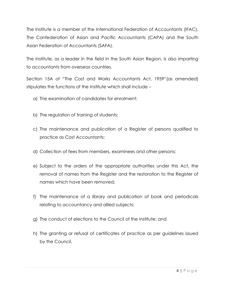The Institute is a member of the International Federation of Accountants (IFAC), The Confederation of Asian and Pacific Accountants (CAPA) and the South Asian Federation of Accountants (SAFA).

The Institute, as a leader in the field in the South Asian Region, is also imparting to accountants from overseas countries.

Section 15A of "The Cost and Works Accountants Act, 1959"(as amended) stipulates the functions of the Institute which shall include –

- a) The examination of candidates for enrolment;
- b) The regulation of training of students;
- c) The maintenance and publication of a Register of persons qualified to practice as Cost Accountants;
- d) Collection of fees from members, examinees and other persons;
- e) Subject to the orders of the appropriate authorities under this Act, the removal of names from the Register and the restoration to the Register of names which have been removed;
- f) The maintenance of a library and publication of book and periodicals relating to accountancy and allied subjects;
- g) The conduct of elections to the Council of the Institute; and
- h) The granting or refusal of certificates of practice as per guidelines issued by the Council.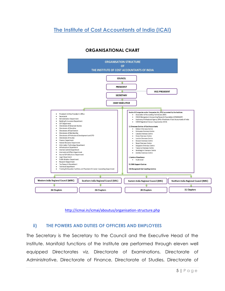**The Institute of Cost Accountants of India (ICAI)**



## **ORGANISATIONAL CHART**

<http://icmai.in/icmai/aboutus/organisation-structure.php>

## **ii) THE POWERS AND DUTIES OF OFFICERS AND EMPLOYEES**

The Secretary is the Secretary to the Council and the Executive Head of the Institute. Manifold functions of the Institute are performed through eleven well equipped Directorates viz. Directorate of Examinations, Directorate of Administrative, Directorate of Finance, Directorate of Studies, Directorate of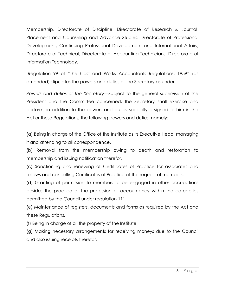Membership, Directorate of Discipline, Directorate of Research & Journal, Placement and Counseling and Advance Studies, Directorate of Professional Development, Continuing Professional Development and International Affairs, Directorate of Technical, Directorate of Accounting Technicians, Directorate of Information Technology.

Regulation 99 of "The Cost and Works Accountants Regulations, 1959" (as amended) stipulates the powers and duties of the Secretary as under:

*Powers and duties of the Secretary—*Subject to the general supervision of the President and the Committee concerned, the Secretary shall exercise and perform, in addition to the powers and duties specially assigned to him in the Act or these Regulations, the following powers and duties, namely:

(a) Being in charge of the Office of the Institute as its Executive Head, managing it and attending to all correspondence.

(b) Removal from the membership owing to death and restoration to membership and issuing notification therefor.

(c) Sanctioning and renewing of Certificates of Practice for associates and fellows and cancelling Certificates of Practice at the request of members.

(d) Granting of permission to members to be engaged in other occupations besides the practice of the profession of accountancy within the categories permitted by the Council under regulation 111.

(e) Maintenance of registers, documents and forms as required by the Act and these Regulations.

(f) Being in charge of all the property of the Institute.

(g) Making necessary arrangements for receiving moneys due to the Council and also issuing receipts therefor.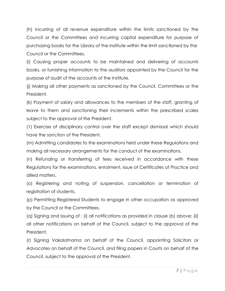(h) Incurring of all revenue expenditure within the limits sanctioned by the Council or the Committees and incurring capital expenditure for purpose of purchasing books for the Library of the Institute within the limit sanctioned by the Council or the Committees.

(i) Causing proper accounts to be maintained and delivering of accounts books, or furnishing information to the auditors appointed by the Council for the purpose of audit of the accounts of the Institute.

(j) Making all other payments as sanctioned by the Council, Committees or the President.

(k) Payment of salary and allowances to the members of the staff, granting of leave to them and sanctioning their increments within the prescribed scales subject to the approval of the President.

(1) Exercise of disciplinary control over the staff except dismissal which should have the sanction of the President.

(m) Admitting candidates to the examinations held under these Regulations and making all necessary arrangements for the conduct of the examinations.

(n) Refunding or transferring of fees received in accordance with these Regulations for the examinations, enrolment, issue of Certificates of Practice and allied matters.

(o) Registering and noting of suspension, cancellation or termination of registration of students.

(p) Permitting Registered Students to engage in other occupation as approved by the Council or the Committees,

(q) Signing and issuing of : (i) all notifications as provided in clause (b) above; (ii) all other notifications on behalf of the Council, subject to the approval of the President.

(r) Signing Vakalatnama on behalf of the Council, appointing Solicitors or Advocates on behalf of the Council, and filing papers in Courts on behalf of the Council, subject to the approval of the President.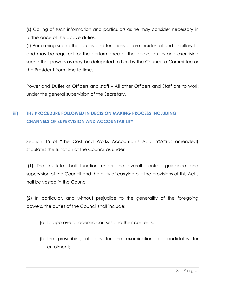(s) Calling of such information and particulars as he may consider necessary in furtherance of the above duties.

(t) Performing such other duties and functions as are incidental and ancillary to and may be required for the performance of the above duties and exercising such other powers as may be delegated to him by the Council, a Committee or the President from time to time.

Power and Duties of Officers and staff – All other Officers and Staff are to work under the general supervision of the Secretary.

## **iii) THE PROCEDURE FOLLOWED IN DECISION MAKING PROCESS INCLUDING CHANNELS OF SUPERVISION AND ACCOUNTABILITY**

Section 15 of "The Cost and Works Accountants Act, 1959"(as amended) stipulates the function of the Council as under:

(1) The Institute shall function under the overall control, guidance and supervision of the Council and the duty of carrying out the provisions of this Act s hall be vested in the Council.

(2) In particular, and without prejudice to the generality of the foregoing powers, the duties of the Council shall include:

- (a) to approve academic courses and their contents;
- (b) the prescribing of fees for the examination of candidates for enrolment;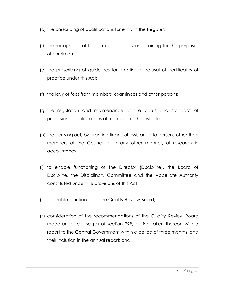- (c) the prescribing of qualifications for entry in the Register;
- (d) the recognition of foreign qualifications and training for the purposes of enrolment;
- (e) the prescribing of guidelines for granting or refusal of certificates of practice under this Act;
- (f) the levy of fees from members, examinees and other persons;
- (g) the regulation and maintenance of the status and standard of professional qualifications of members of the Institute;
- (h) the carrying out, by granting financial assistance to persons other than members of the Council or in any other manner, of research in accountancy;
- (i) to enable functioning of the Director (Discipline), the Board of Discipline, the Disciplinary Committee and the Appellate Authority constituted under the provisions of this Act;
- (j) to enable functioning of the Quality Review Board;
- (k) consideration of the recommendations of the Quality Review Board made under clause (a) of section 29B, action taken thereon with a report to the Central Government within a period of three months, and their inclusion in the annual report; and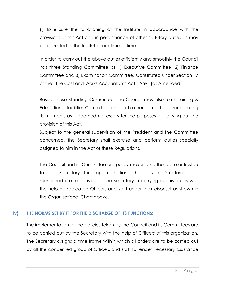(l) to ensure the functioning of the Institute in accordance with the provisions of this Act and in performance of other statutory duties as may be entrusted to the Institute from time to time.

In order to carry out the above duties efficiently and smoothly the Council has three Standing Committee as 1) Executive Committee, 2) Finance Committee and 3) Examination Committee. Constituted under Section 17 of the "The Cost and Works Accountants Act, 1959" (as Amended)

Beside these Standing Committees the Council may also form Training & Educational facilities Committee and such other committees from among its members as it deemed necessary for the purposes of carrying out the provision of this Act.

Subject to the general supervision of the President and the Committee concerned, the Secretary shall exercise and perform duties specially assigned to him in the Act or these Regulations.

The Council and its Committee are policy makers and these are entrusted to the Secretary for implementation. The eleven Directorates as mentioned are responsible to the Secretary in carrying out his duties with the help of dedicated Officers and staff under their disposal as shown in the Organisational Chart above.

## **iv) THE NORMS SET BY IT FOR THE DISCHARGE OF ITS FUNCTIONS:**

The implementation of the policies taken by the Council and its Committees are to be carried out by the Secretary with the help of Officers of this organization. The Secretary assigns a time frame within which all orders are to be carried out by all the concerned group of Officers and staff to render necessary assistance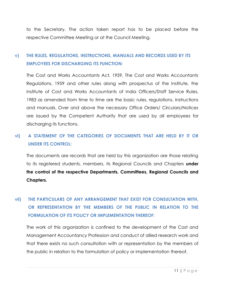to the Secretary. The action taken report has to be placed before the respective Committee Meeting or at the Council Meeting.

## **v) THE RULES, REGULATIONS, INSTRUCTIONS, MANUALS AND RECORDS USED BY ITS EMPLOYEES FOR DISCHARGING ITS FUNCTION:**

The Cost and Works Accountants Act, 1959, The Cost and Works Accountants Regulations, 1959 and other rules along with prospectus of the Institute, the Institute of Cost and Works Accountants of India Officers/Staff Service Rules, 1983 as amended from time to time are the basic rules, regulations, instructions and manuals. Over and above the necessary Office Orders/ Circulars/Notices are issued by the Competent Authority that are used by all employees for discharging its functions.

## **vi) A STATEMENT OF THE CATEGORIES OF DOCUMENTS THAT ARE HELD BY IT OR UNDER ITS CONTROL:**

The documents are records that are held by this organization are those relating to its registered students, members, its Regional Councils and Chapters **under the control of the respective Departments, Committees, Regional Councils and Chapters.**

## **vii) THE PARTICULARS OF ANY ARRANGEMENT THAT EXIST FOR CONSULTATION WITH, OR REPRESENTATION BY THE MEMBERS OF THE PUBLIC IN RELATION TO THE FORMULATION OF ITS POLICY OR IMPLEMENTATION THEREOF:**

The work of this organization is confined to the development of the Cost and Management Accountancy Profession and conduct of allied research work and that there exists no such consultation with or representation by the members of the public in relation to the formulation of policy or implementation thereof.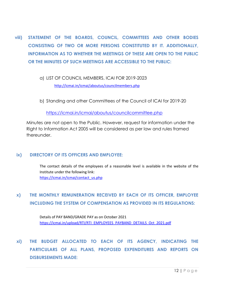- **viii) STATEMENT OF THE BOARDS, COUNCIL, COMMITTEES AND OTHER BODIES CONSISTING OF TWO OR MORE PERSONS CONSTITUTED BY IT. ADDITIONALLY, INFORMATION AS TO WHETHER THE MEETINGS OF THESE ARE OPEN TO THE PUBLIC OR THE MINUTES OF SUCH MEETINGS ARE ACCESSIBLE TO THE PUBLIC:**
	- a) LIST OF COUNCIL MEMBERS, ICAI FOR 2019-2023 <http://icmai.in/icmai/aboutus/councilmembers.php>
	- b) Standing and other Committees of the Council of ICAI for 2019-20

<https://icmai.in/icmai/aboutus/councilcommittee.php>

Minutes are not open to the Public. However, request for information under the Right to Information Act 2005 will be considered as per law and rules framed thereunder.

### **ix) DIRECTORY OF ITS OFFICERS AND EMPLOYEE:**

The contact details of the employees of a reasonable level is available in the website of the Institute under the following link: [https://icmai.in/icmai/contact\\_us.php](https://icmai.in/icmai/contact_us.php)

## **x) THE MONTHLY REMUNERATION RECEIVED BY EACH OF ITS OFFICER, EMPLOYEE INCLUDING THE SYSTEM OF COMPENSATION AS PROVIDED IN ITS REGULATIONS:**

Details of PAY BAND/GRADE PAY as on October 2021 [https://icmai.in/upload/RTI/RTI\\_EMPLOYEES\\_PAYBAND\\_DETAILS\\_Oct\\_2021.pdf](https://icmai.in/upload/RTI/RTI_EMPLOYEES_PAYBAND_DETAILS_Oct_2021.pdf)

**xi) THE BUDGET ALLOCATED TO EACH OF ITS AGENCY, INDICATING THE PARTICULARS OF ALL PLANS, PROPOSED EXPENDITURES AND REPORTS ON DISBURSEMENTS MADE:**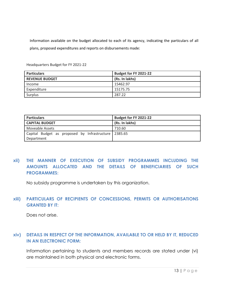Information available on the budget allocated to each of its agency, indicating the particulars of all plans, proposed expenditures and reports on disbursements made:

| <b>Particulars</b>    | Budget for FY 2021-22 |
|-----------------------|-----------------------|
| <b>REVENUE BUDGET</b> | (Rs. In lakhs)        |
| Income                | 15462.97              |
| Expenditure           | 15175.75              |
| Surplus               | 287.22                |

Headquarters Budget for FY 2021-22

| <b>Particulars</b>                                   | Budget for FY 2021-22 |
|------------------------------------------------------|-----------------------|
| <b>CAPITAL BUDGET</b>                                | (Rs. In lakhs)        |
| Moveable Assets                                      | 710.60                |
| Capital Budget as proposed by Infrastructure 2385.65 |                       |
| Department                                           |                       |

## **xii) THE MANNER OF EXECUTION OF SUBSIDY PROGRAMMES INCLUDING THE AMOUNTS ALLOCATED AND THE DETAILS OF BENEFICIARIES OF SUCH PROGRAMMES:**

No subsidy programme is undertaken by this organization.

## **xiii) PARTICULARS OF RECIPIENTS OF CONCESSIONS, PERMITS OR AUTHORISATIONS GRANTED BY IT:**

Does not arise.

## **xiv) DETAILS IN RESPECT OF THE INFORMATION, AVAILABLE TO OR HELD BY IT, REDUCED IN AN ELECTRONIC FORM:**

Information pertaining to students and members records are stated under (vi) are maintained in both physical and electronic forms.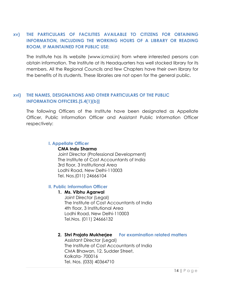## **xv) THE PARTICULARS OF FACILITIES AVAILABLE TO CITIZENS FOR OBTAINING INFORMATION, INCLUDING THE WORKING HOURS OF A LIBRARY OR READING ROOM, IF MAINTAINED FOR PUBLIC USE:**

The Institute has its website [\(www.icmai.in\)](http://www.icmai.in/) from where interested persons can obtain information. The Institute at its Headquarters has well stocked library for its members. All the Regional Councils and few Chapters have their own library for the benefits of its students. These libraries are not open for the general public.

## **xvi) THE NAMES, DESIGNATIONS AND OTHER PARTICULARS OF THE PUBLIC INFORMATION OFFICERS.[S.4(1)(b)]**

The following Officers of the Institute have been designated as Appellate Officer, Public Information Officer and Assistant Public Information Officer respectively:

## **I. Appellate Officer**

### **CMA Indu Sharma**

Joint Director (Professional Development) The Institute of Cost Accountants of India 3rd floor, 3 Institutional Area Lodhi Road, New Delhi-110003 Tel. Nos.(011) 24666104

### **II. Public Information Officer**

### **1. Ms. Vibhu Agarwal**

Joint Director (Legal) The Institute of Cost Accountants of India 4th floor, 3 Institutional Area Lodhi Road, New Delhi-110003 Tel.Nos. (011) 24666132

## **2. Shri Prajato Mukherjee For examination related matters**

Assistant Director (Legal) The Institute of Cost Accountants of India CMA Bhawan, 12, Sudder Street, Kolkata- 700016 Tel. Nos. (033) 40364710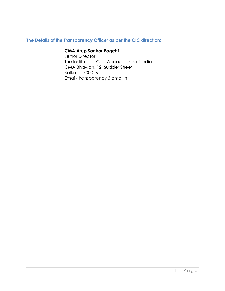## **The Details of the Transparency Officer as per the CIC direction:**

## **CMA Arup Sankar Bagchi**

Senior Director The Institute of Cost Accountants of India CMA Bhawan, 12, Sudder Street, Kolkata- 700016 Email- transparency@icmai.in